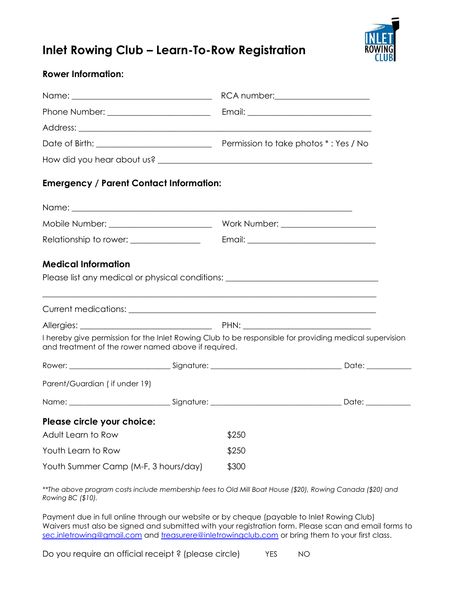

## **Inlet Rowing Club – Learn-To-Row Registration**

## **Rower Information:**

| <b>Emergency / Parent Contact Information:</b>                                   |       |                                                                                                        |
|----------------------------------------------------------------------------------|-------|--------------------------------------------------------------------------------------------------------|
|                                                                                  |       |                                                                                                        |
| Mobile Number: _____________________________                                     |       | Work Number: ______________________                                                                    |
| Relationship to rower: _________________                                         |       |                                                                                                        |
|                                                                                  |       |                                                                                                        |
| <b>Medical Information</b>                                                       |       |                                                                                                        |
| Please list any medical or physical conditions: ________________________________ |       |                                                                                                        |
|                                                                                  |       |                                                                                                        |
| Allergies: PHN: PHN:                                                             |       |                                                                                                        |
| and treatment of the rower named above if required.                              |       | I hereby give permission for the Inlet Rowing Club to be responsible for providing medical supervision |
|                                                                                  |       |                                                                                                        |
| Parent/Guardian (if under 19)                                                    |       |                                                                                                        |
|                                                                                  |       |                                                                                                        |
| Please circle your choice:                                                       |       |                                                                                                        |
| Adult Learn to Row                                                               | \$250 |                                                                                                        |
| Youth Learn to Row                                                               | \$250 |                                                                                                        |
| Youth Summer Camp (M-F, 3 hours/day)<br>\$300                                    |       |                                                                                                        |

*\*\*The above program costs include membership fees to Old Mill Boat House (\$20), Rowing Canada (\$20) and Rowing BC (\$10).* 

Payment due in full online through our website or by cheque (payable to Inlet Rowing Club) Waivers must also be signed and submitted with your registration form. Please scan and email forms to [sec.inletrowing@gmail.com](mailto:sec.inletrowing@gmail.com) and [treasurere@inletrowingclub.com](mailto:treasurere@inletrowingclub.com) or bring them to your first class.

Do you require an official receipt? (please circle) YES NO